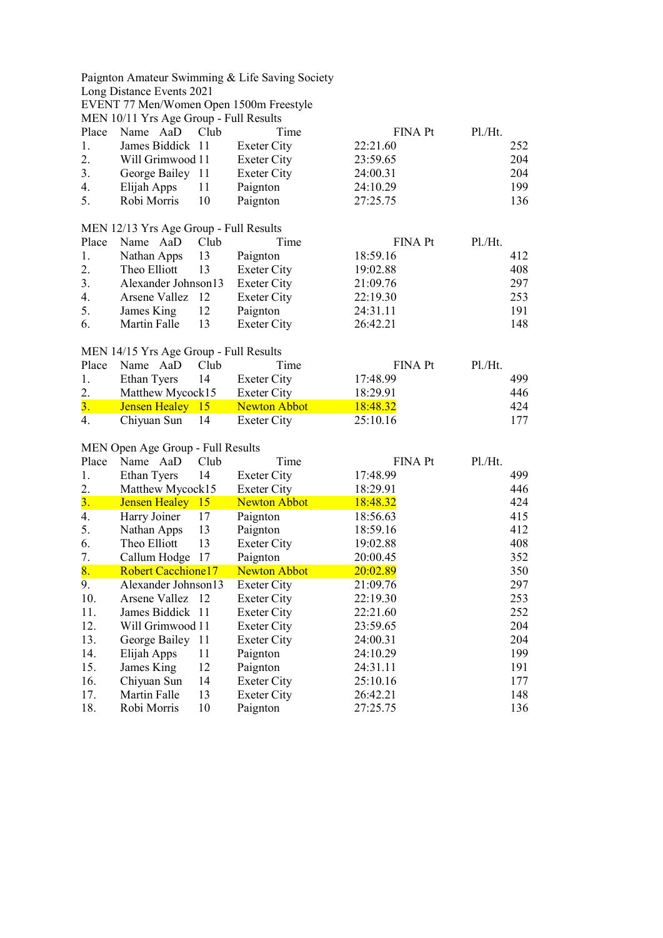|                  |                                        |      | Paignton Amateur Swimming & Life Saving Society |                |         |
|------------------|----------------------------------------|------|-------------------------------------------------|----------------|---------|
|                  | Long Distance Events 2021              |      |                                                 |                |         |
|                  |                                        |      | EVENT 77 Men/Women Open 1500m Freestyle         |                |         |
|                  | MEN 10/11 Yrs Age Group - Full Results |      |                                                 |                |         |
| Place            | Name AaD                               | Club | Time                                            | FINA Pt        | Pl./Ht. |
| 1.               | James Biddick 11                       |      | <b>Exeter City</b>                              | 22:21.60       | 252     |
| 2.               | Will Grimwood 11                       |      | <b>Exeter City</b>                              | 23:59.65       | 204     |
| $\overline{3}$ . | George Bailey 11                       |      | <b>Exeter City</b>                              | 24:00.31       | 204     |
| 4.               | Elijah Apps                            | 11   | Paignton                                        | 24:10.29       | 199     |
| 5.               | Robi Morris                            | 10   | Paignton                                        | 27:25.75       | 136     |
|                  | MEN 12/13 Yrs Age Group - Full Results |      |                                                 |                |         |
| Place            | Name AaD                               | Club | Time                                            | <b>FINA Pt</b> | Pl.Ht.  |
| 1.               | Nathan Apps                            | 13   | Paignton                                        | 18:59.16       | 412     |
| 2.               | Theo Elliott                           | 13   | <b>Exeter City</b>                              | 19:02.88       | 408     |
| 3.               | Alexander Johnson13                    |      | <b>Exeter City</b>                              | 21:09.76       | 297     |
| 4.               | Arsene Vallez                          | 12   | <b>Exeter City</b>                              | 22:19.30       | 253     |
| 5.               | James King                             | 12   | Paignton                                        | 24:31.11       | 191     |
| 6.               | Martin Falle                           | 13   | <b>Exeter City</b>                              | 26:42.21       | 148     |
|                  |                                        |      |                                                 |                |         |
| Place            | MEN 14/15 Yrs Age Group - Full Results | Club | Time                                            |                | P1./Ht. |
|                  | Name AaD                               |      |                                                 | <b>FINA Pt</b> |         |
| 1.               | Ethan Tyers                            | 14   | <b>Exeter City</b>                              | 17:48.99       | 499     |
| 2.               | Matthew Mycock15                       |      | <b>Exeter City</b>                              | 18:29.91       | 446     |
| 3.               | Jensen Healey 15                       |      | <b>Newton Abbot</b>                             | 18:48.32       | 424     |
| 4.               | Chiyuan Sun                            | 14   | <b>Exeter City</b>                              | 25:10.16       | 177     |
|                  | MEN Open Age Group - Full Results      |      |                                                 |                |         |
| Place            | Name AaD                               | Club | Time                                            | <b>FINA Pt</b> | Pl.Ht.  |
| 1.               | Ethan Tyers                            | 14   | <b>Exeter City</b>                              | 17:48.99       | 499     |
| 2.               | Matthew Mycock15                       |      | <b>Exeter City</b>                              | 18:29.91       | 446     |
| 3.               | Jensen Healey 15                       |      | <b>Newton Abbot</b>                             | 18:48.32       | 424     |
| 4.               | Harry Joiner                           | 17   | Paignton                                        | 18:56.63       | 415     |
| 5.               | Nathan Apps                            | 13   | Paignton                                        | 18:59.16       | 412     |
| 6.               | Theo Elliott                           | 13   | <b>Exeter City</b>                              | 19:02.88       | 408     |
| 7.               | Callum Hodge                           | 17   | Paignton                                        | 20:00.45       | 352     |
| 8.               | <b>Robert Cacchione17</b>              |      | <b>Newton Abbot</b>                             | 20:02.89       | 350     |
| 9.               | Alexander Johnson13                    |      | Exeter City                                     | 21:09.76       | 297     |
| 10.              | Arsene Vallez 12                       |      | <b>Exeter City</b>                              | 22:19.30       | 253     |
| 11.              | James Biddick 11                       |      | <b>Exeter City</b>                              | 22:21.60       | 252     |
| 12.              | Will Grimwood 11                       |      | <b>Exeter City</b>                              | 23:59.65       | 204     |
| 13.              | George Bailey                          | 11   | <b>Exeter City</b>                              | 24:00.31       | 204     |
| 14.              | Elijah Apps                            | 11   | Paignton                                        | 24:10.29       | 199     |
| 15.              | James King                             | 12   | Paignton                                        | 24:31.11       | 191     |
| 16.              | Chiyuan Sun                            | 14   | <b>Exeter City</b>                              | 25:10.16       | 177     |
| 17.              | Martin Falle                           | 13   | <b>Exeter City</b>                              | 26:42.21       | 148     |
| 18.              | Robi Morris                            | 10   | Paignton                                        | 27:25.75       | 136     |
|                  |                                        |      |                                                 |                |         |